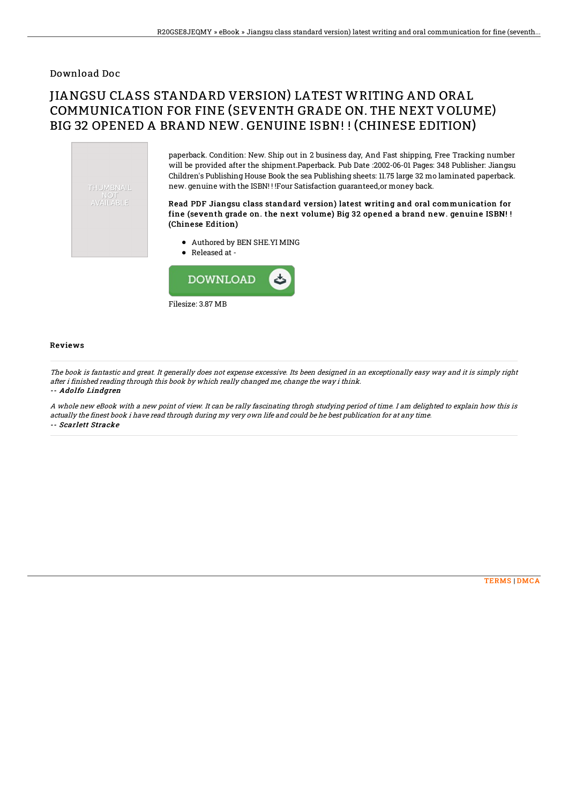### Download Doc

# JIANGSU CLASS STANDARD VERSION) LATEST WRITING AND ORAL COMMUNICATION FOR FINE (SEVENTH GRADE ON. THE NEXT VOLUME) BIG 32 OPENED A BRAND NEW. GENUINE ISBN! ! (CHINESE EDITION)

THUMBNAIL **AVAILABLE** 

paperback. Condition: New. Ship out in 2 business day, And Fast shipping, Free Tracking number will be provided after the shipment.Paperback. Pub Date :2002-06-01 Pages: 348 Publisher: Jiangsu Children's Publishing House Book the sea Publishing sheets: 11.75 large 32 mo laminated paperback. new. genuine with the ISBN! ! !Four Satisfaction guaranteed,or money back.

#### Read PDF Jiangsu class standard version) latest writing and oral communication for fine (seventh grade on. the next volume) Big 32 opened a brand new. genuine ISBN! ! (Chinese Edition)

- Authored by BEN SHE.YI MING
- Released at -



#### Reviews

The book is fantastic and great. It generally does not expense excessive. Its been designed in an exceptionally easy way and it is simply right after i finished reading through this book by which really changed me, change the way i think. -- Adolfo Lindgren

A whole new eBook with <sup>a</sup> new point of view. It can be rally fascinating throgh studying period of time. I am delighted to explain how this is actually the finest book i have read through during my very own life and could be he best publication for at any time. -- Scarlett Stracke